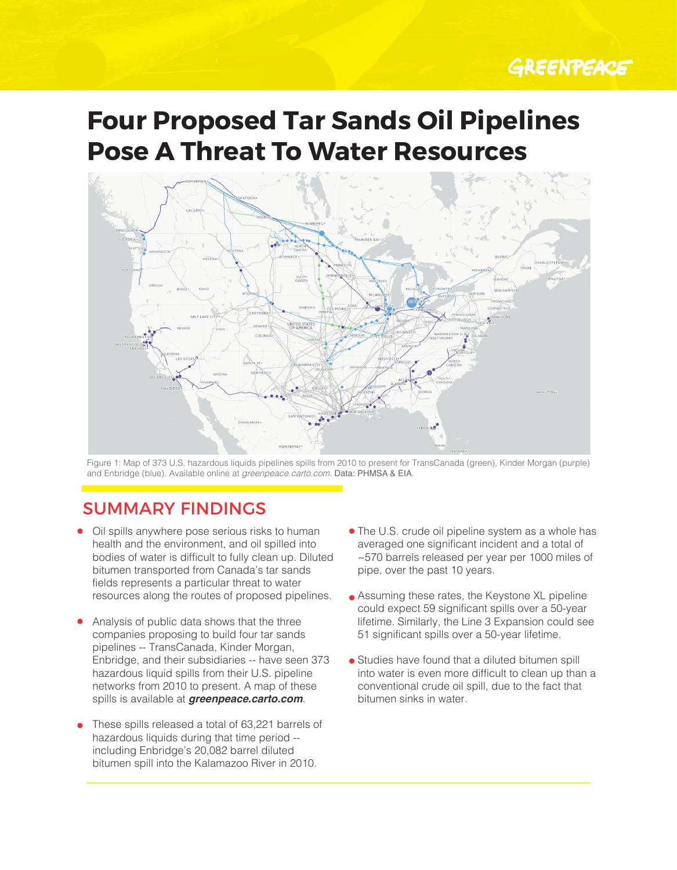# GREENPEACE

# **Four Proposed Tar Sands Oil Pipelines Pose A Threat To Water Resources**



and Enbridge (blue). Available online at *greenpeace.carto.com*. **Data: PHMSA & EIA**. Figure 1: Map of 373 U.S. hazardous liquids pipelines spills from 2010 to present for TransCanada (green), Kinder Morgan (purple)

## SUMMARY FINDINGS

- Oil spills anywhere pose serious risks to human health and the environment, and oil spilled into bodies of water is difficult to fully clean up. Diluted bitumen transported from Canada's tar sands fields represents a particular threat to water resources along the routes of proposed pipelines.
- spills is available at *greenpeace.carto.com*. Analysis of public data shows that the three companies proposing to build four tar sands pipelines -- TransCanada, Kinder Morgan, Enbridge, and their subsidiaries -- have seen 373 hazardous liquid spills from their U.S. pipeline networks from 2010 to present. A map of these
- These spills released a total of 63,221 barrels of hazardous liquids during that time period - including Enbridge's 20,082 barrel diluted bitumen spill into the Kalamazoo River in 2010.
- The U.S. crude oil pipeline system as a whole has averaged one significant incident and a total of ~570 barrels released per year per 1000 miles of pipe, over the past 10 years.
- **Assuming these rates, the Keystone XL pipeline** could expect 59 significant spills over a 50-year lifetime. Similarly, the Line 3 Expansion could see 51 significant spills over a 50-year lifetime.
- Studies have found that a diluted bitumen spill into water is even more difficult to clean up than a conventional crude oil spill, due to the fact that bitumen sinks in water.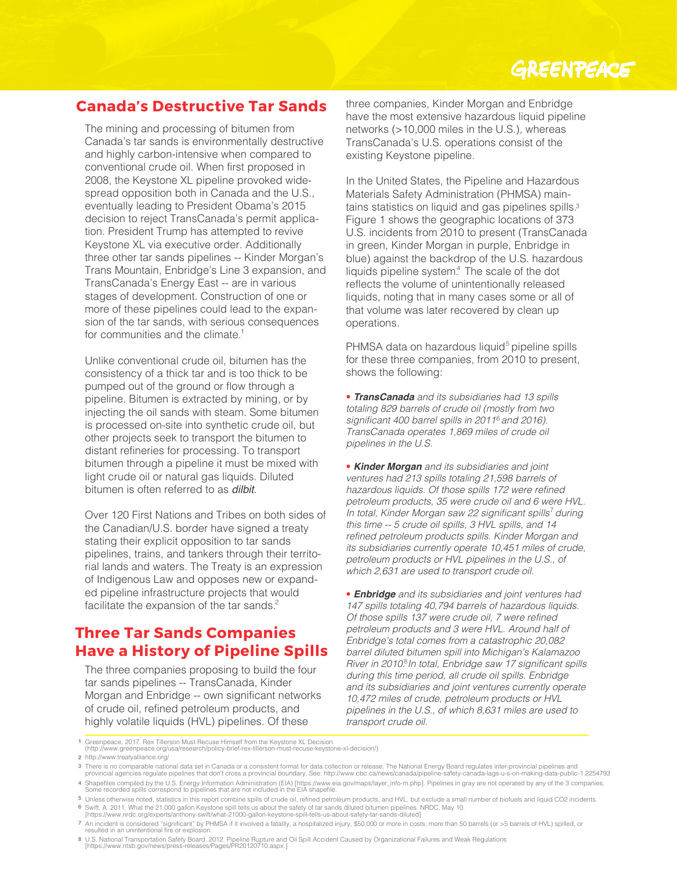# GREENPEACE

#### **Canada's Destructive Tar Sands**

for communities and the climate.<sup>1</sup> The mining and processing of bitumen from Canada's tar sands is environmentally destructive and highly carbon-intensive when compared to conventional crude oil. When first proposed in 2008, the Keystone XL pipeline provoked widespread opposition both in Canada and the U.S., eventually leading to President Obama's 2015 decision to reject TransCanada's permit application. President Trump has attempted to revive Keystone XL via executive order. Additionally three other tar sands pipelines -- Kinder Morgan's Trans Mountain, Enbridge's Line 3 expansion, and TransCanada's Energy East -- are in various stages of development. Construction of one or more of these pipelines could lead to the expansion of the tar sands, with serious consequences

Unlike conventional crude oil, bitumen has the consistency of a thick tar and is too thick to be pumped out of the ground or flow through a pipeline. Bitumen is extracted by mining, or by injecting the oil sands with steam. Some bitumen is processed on-site into synthetic crude oil, but other projects seek to transport the bitumen to distant refineries for processing. To transport bitumen through a pipeline it must be mixed with light crude oil or natural gas liquids. Diluted bitumen is often referred to as *dilbit*.

facilitate the expansion of the tar sands.<sup>2</sup> Over 120 First Nations and Tribes on both sides of the Canadian/U.S. border have signed a treaty stating their explicit opposition to tar sands pipelines, trains, and tankers through their territorial lands and waters. The Treaty is an expression of Indigenous Law and opposes new or expanded pipeline infrastructure projects that would

#### **Three Tar Sands Companies Have a History of Pipeline Spills**

The three companies proposing to build the four tar sands pipelines -- TransCanada, Kinder Morgan and Enbridge -- own significant networks of crude oil, refined petroleum products, and highly volatile liquids (HVL) pipelines. Of these

three companies, Kinder Morgan and Enbridge have the most extensive hazardous liquid pipeline networks (>10,000 miles in the U.S.), whereas TransCanada's U.S. operations consist of the existing Keystone pipeline.

In the United States, the Pipeline and Hazardous Materials Safety Administration (PHMSA) maintains statistics on liquid and gas pipelines spills.<sup>3</sup> Figure 1 shows the geographic locations of 373 U.S. incidents from 2010 to present (TransCanada in green, Kinder Morgan in purple, Enbridge in blue) against the backdrop of the U.S. hazardous liquids pipeline system.<sup>4</sup> The scale of the dot reflects the volume of unintentionally released liquids, noting that in many cases some or all of that volume was later recovered by clean up operations.

PHMSA data on hazardous liquid<sup>5</sup> pipeline spills for these three companies, from 2010 to present, shows the following:

• *TransCanada* and its subsidiaries had 13 spills totaling 829 barrels of crude oil (mostly from two significant 400 barrel spills in 2011<sup>6</sup> and 2016). TransCanada operates 1,869 miles of crude oil pipelines in the U.S.

• *Kinder Morgan* and its subsidiaries and joint ventures had 213 spills totaling 21,598 barrels of hazardous liquids. Of those spills 172 were refined petroleum products, 35 were crude oil and 6 were HVL. In total, Kinder Morgan saw 22 significant spills<sup>7</sup> during this time -- 5 crude oil spills, 3 HVL spills, and 14 refined petroleum products spills. Kinder Morgan and its subsidiaries currently operate 10,451 miles of crude, petroleum products or HVL pipelines in the U.S., of which 2,631 are used to transport crude oil.

• *Enbridge* and its subsidiaries and joint ventures had 147 spills totaling 40,794 barrels of hazardous liquids. Of those spills 137 were crude oil, 7 were refined petroleum products and 3 were HVL. Around half of Enbridge's total comes from a catastrophic 20,082 barrel diluted bitumen spill into Michigan's Kalamazoo River in 2010.<sup>8</sup> In total, Enbridge saw 17 significant spills during this time period, all crude oil spills. Enbridge and its subsidiaries and joint ventures currently operate 10,472 miles of crude, petroleum products or HVL pipelines in the U.S., of which 8,631 miles are used to transport crude oil.

1 Greenpeace. 2017. Rex Tillerson Must Recuse Himself from the Keystone XL Decision. (http://www.greenpeace.org/usa/research/policy-brief-rex-tillerson-must-recuse-keystone-xl-decision/)

- 2 http://www.treatyalliance.org/
- 3 There is no comparable national data set in Canada or a consistent format for data collection or release. The National Energy Board regulates inter-provincial pipelines and<br>provincial agencies regulate pipelines that don
- 4 Shapefiles compiled by the U.S. Energy Information Administration (EIA) [https://www.eia.gov/maps/layer\_info-m.php]. Pipelines in gray are not operated by any of the 3 companies.<br>Some recorded spills correspond to pipeli
- 5 Unless otherwise noted, statistics in this report combine spills of crude oil, refined petroleum products, and HVL, but exclude a small number of biofuels and liquid CO2 incidents. 6 Swift, A. 2011. What the 21,000 gallon Keystone spill tells us about the safety of tar sands diluted bitumen pipelines. NRDC, May 10.<br>[https://www.nrdc.org/experts/anthony-swift/what-21000-gallon-keystone-spill-tells-us-
- 
- 7 An incident is considered "significant" by PHMSA if it involved a fatality, a hospitalized injury, \$50,000 or more in costs, more than 50 barrels (or >5 barrels of HVL) spilled, or<br>resulted in an unintentional fire or ex

8 U.S. National Transportation Safety Board. 2012. Pipeline Rupture and Oil Spill Accident Caused by Organizational Failures and Weak Regulations [https://www.ntsb.gov/news/press-releases/Pages/PR20120710.aspx.]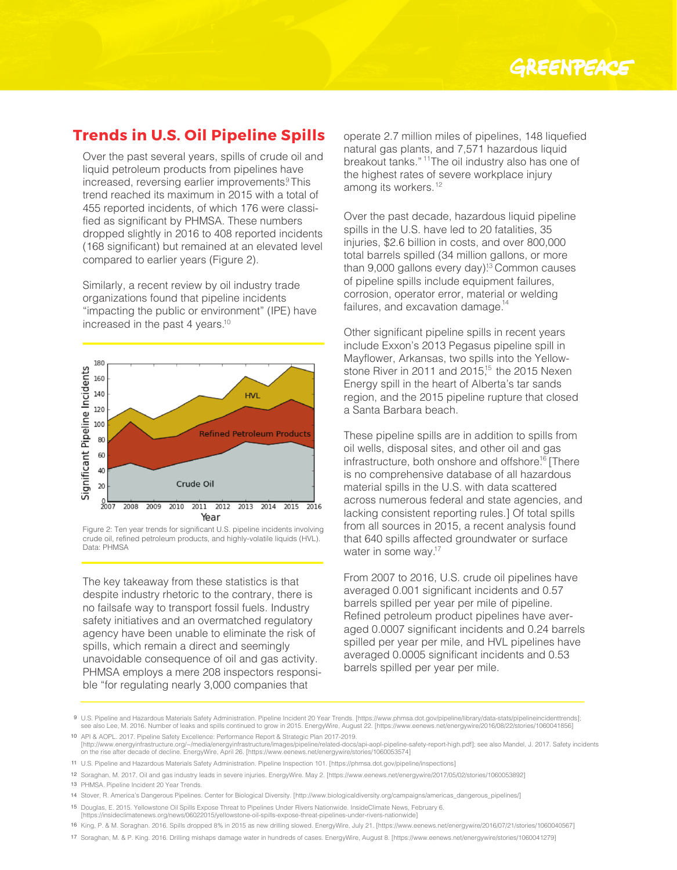#### **Trends in U.S. Oil Pipeline Spills**

Over the past several years, spills of crude oil and liquid petroleum products from pipelines have increased, reversing earlier improvements.<sup>9</sup> This trend reached its maximum in 2015 with a total of 455 reported incidents, of which 176 were classified as significant by PHMSA. These numbers dropped slightly in 2016 to 408 reported incidents (168 significant) but remained at an elevated level compared to earlier years (Figure 2).

Similarly, a recent review by oil industry trade organizations found that pipeline incidents "impacting the public or environment" (IPE) have increased in the past 4 years. 10



Figure 2: Ten year trends for significant U.S. pipeline incidents involving crude oil, refined petroleum products, and highly-volatile liquids (HVL). Data: PHMSA

The key takeaway from these statistics is that despite industry rhetoric to the contrary, there is no failsafe way to transport fossil fuels. Industry safety initiatives and an overmatched regulatory agency have been unable to eliminate the risk of spills, which remain a direct and seemingly unavoidable consequence of oil and gas activity. PHMSA employs a mere 208 inspectors responsible "for regulating nearly 3,000 companies that

breakout tanks."<sup>11</sup>The oil industry also has one of among its workers.<sup>12</sup> operate 2.7 million miles of pipelines, 148 liquefied natural gas plants, and 7,571 hazardous liquid the highest rates of severe workplace injury

Over the past decade, hazardous liquid pipeline spills in the U.S. have led to 20 fatalities, 35 injuries, \$2.6 billion in costs, and over 800,000 total barrels spilled (34 million gallons, or more than 9,000 gallons every day)<sup>13</sup> Common causes of pipeline spills include equipment failures, corrosion, operator error, material or welding failures, and excavation damage.<sup>14</sup>

Other significant pipeline spills in recent years include Exxon's 2013 Pegasus pipeline spill in Mayflower, Arkansas, two spills into the Yellowstone River in 2011 and 2015,<sup>15</sup> the 2015 Nexen Energy spill in the heart of Alberta's tar sands region, and the 2015 pipeline rupture that closed a Santa Barbara beach.

These pipeline spills are in addition to spills from oil wells, disposal sites, and other oil and gas infrastructure, both onshore and offshore<sup>16</sup> [There is no comprehensive database of all hazardous material spills in the U.S. with data scattered across numerous federal and state agencies, and lacking consistent reporting rules.] Of total spills from all sources in 2015, a recent analysis found that 640 spills affected groundwater or surface water in some way.<sup>17</sup>

From 2007 to 2016, U.S. crude oil pipelines have averaged 0.001 significant incidents and 0.57 barrels spilled per year per mile of pipeline. Refined petroleum product pipelines have averaged 0.0007 significant incidents and 0.24 barrels spilled per year per mile, and HVL pipelines have averaged 0.0005 significant incidents and 0.53 barrels spilled per year per mile.

<sup>9</sup> U.S. Pipeline and Hazardous Materials Safety Administration. Pipeline Incident 20 Year Trends. [https://www.phmsa.dot.gov/pipeline/library/data-stats/pipelineincidenttrends]; see also Lee, M. 2016. Number of leaks and spills continued to grow in 2015. EnergyWire, August 22. [https://www.eenews.net/energywire/2016/08/22/stories/1060041856] 10 API & AOPL. 2017. Pipeline Safety Excellence: Performance Report & Strategic Plan 2017-2019.

<sup>[</sup>http://www.energyinfrastructure.org/~/media/energyinfrastructure/images/pipeline/related-docs/api-aopl-pipeline-safety-report-high.pdf]; see also Mandel, J. 2017. Safety incidents on the rise after decade of decline. EnergyWire, April 26. [https://www.eenews.net/energywire/stories/1060053574]

<sup>11</sup> U.S. Pipeline and Hazardous Materials Safety Administration. Pipeline Inspection 101. [https://phmsa.dot.gov/pipeline/inspections]

<sup>12</sup> Soraghan, M. 2017. Oil and gas industry leads in severe injuries. EnergyWire. May 2. [https://www.eenews.net/energywire/2017/05/02/stories/1060053892]

<sup>13</sup> PHMSA. Pipeline Incident 20 Year Trends.

<sup>14</sup> Stover, R. America's Dangerous Pipelines. Center for Biological Diversity. [http://www.biologicaldiversity.org/campaigns/americas\_dangerous\_pipelines/] 15 Douglas, E. 2015. Yellowstone Oil Spills Expose Threat to Pipelines Under Rivers Nationwide. InsideClimate News, February 6.

<sup>[</sup>https://insideclimatenews.org/news/06022015/yellowstone-oil-spills-expose-threat-pipelines-under-rivers-nationwide]

<sup>16</sup> King, P. & M. Soraghan. 2016. Spills dropped 8% in 2015 as new drilling slowed. EnergyWire, July 21. [https://www.eenews.net/energywire/2016/07/21/stories/1060040567]

<sup>17</sup> Soraghan, M. & P. King. 2016. Drilling mishaps damage water in hundreds of cases. EnergyWire, August 8. [https://www.eenews.net/energywire/stories/1060041279]